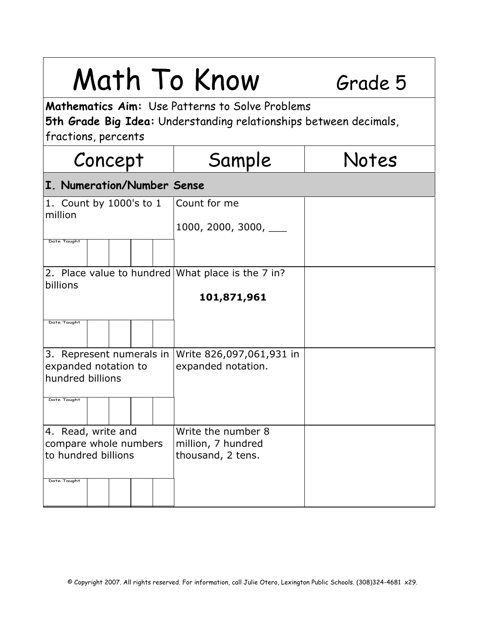| Math To Know                                                                                                                                |                                          | Grade 5 |
|---------------------------------------------------------------------------------------------------------------------------------------------|------------------------------------------|---------|
| Mathematics Aim: Use Patterns to Solve Problems<br>5th Grade Big Idea: Understanding relationships between decimals,<br>fractions, percents |                                          |         |
| Concept                                                                                                                                     | Sample                                   | Notes   |
| I. Numeration/Number Sense                                                                                                                  |                                          |         |
| 1. Count by 1000's to 1<br>million                                                                                                          | Count for me                             |         |
|                                                                                                                                             | 1000, 2000, 3000, $\_\_$                 |         |
| Date Taught                                                                                                                                 |                                          |         |
| 2. Place value to hundred   What place is the 7 in?<br>billions                                                                             |                                          |         |
|                                                                                                                                             | 101,871,961                              |         |
| Date Taught                                                                                                                                 |                                          |         |
| 3. Represent numerals in                                                                                                                    | Write 826,097,061,931 in                 |         |
| expanded notation to<br>hundred billions                                                                                                    | expanded notation.                       |         |
| Date Taught                                                                                                                                 |                                          |         |
| 4. Read, write and<br>compare whole numbers                                                                                                 | Write the number 8<br>million, 7 hundred |         |
| to hundred billions                                                                                                                         | thousand, 2 tens.                        |         |
| Date Taught                                                                                                                                 |                                          |         |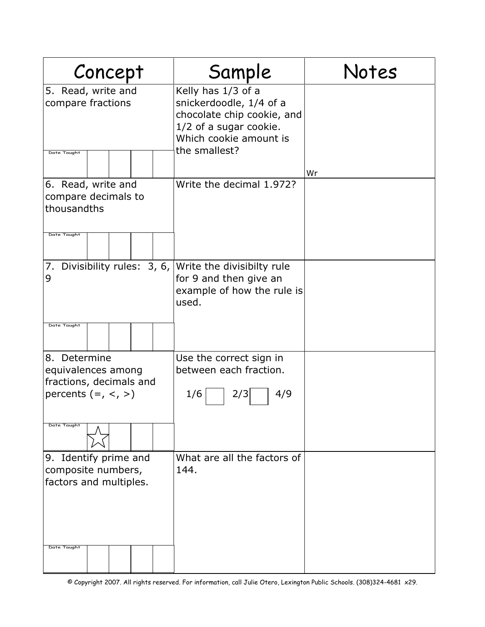| Concept                                                                               | Sample                                                                                                                                           | Notes |
|---------------------------------------------------------------------------------------|--------------------------------------------------------------------------------------------------------------------------------------------------|-------|
| 5. Read, write and<br>compare fractions<br>Date Taught                                | Kelly has 1/3 of a<br>snickerdoodle, 1/4 of a<br>chocolate chip cookie, and<br>1/2 of a sugar cookie.<br>Which cookie amount is<br>the smallest? |       |
|                                                                                       |                                                                                                                                                  | Wr    |
| 6. Read, write and<br>compare decimals to<br>thousandths<br>Date Taught               | Write the decimal 1.972?                                                                                                                         |       |
| Divisibility rules: $3, 6,$<br>7.<br>9<br>Date Taught                                 | Write the divisibilty rule<br>for 9 and then give an<br>example of how the rule is<br>used.                                                      |       |
|                                                                                       |                                                                                                                                                  |       |
| 8. Determine<br>equivalences among<br>fractions, decimals and<br>percents $(=, <, >)$ | Use the correct sign in<br>between each fraction.<br>4/9<br>1/6<br>2/3                                                                           |       |
| Date Taught                                                                           |                                                                                                                                                  |       |
| 9. Identify prime and<br>composite numbers,<br>factors and multiples.                 | What are all the factors of<br>144.                                                                                                              |       |
| Date Taught                                                                           |                                                                                                                                                  |       |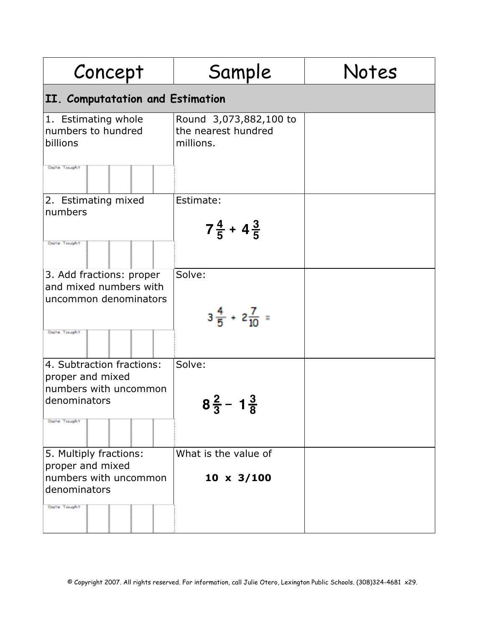| Concept                                                                                               | Sample                                                     | Notes |
|-------------------------------------------------------------------------------------------------------|------------------------------------------------------------|-------|
| II. Computatation and Estimation                                                                      |                                                            |       |
| 1. Estimating whole<br>numbers to hundred<br>billions<br>Dote Tought                                  | Round 3,073,882,100 to<br>the nearest hundred<br>millions. |       |
| 2. Estimating mixed<br>numbers<br>Dote: Tought                                                        | Estimate:<br>$7\frac{4}{5}$ + 4 $\frac{3}{5}$              |       |
| 3. Add fractions: proper<br>and mixed numbers with<br>uncommon denominators<br>Dote Tought            | Solve:<br>$3\frac{4}{5}$ + $2\frac{7}{10}$ =               |       |
| 4. Subtraction fractions:<br>proper and mixed<br>numbers with uncommon<br>denominators<br>Dote Tought | Solve:<br>$8\frac{2}{3}$ – $1\frac{3}{8}$                  |       |
| 5. Multiply fractions:<br>proper and mixed<br>numbers with uncommon<br>denominators<br>Dote Tought    | What is the value of<br>$10 \times 3/100$                  |       |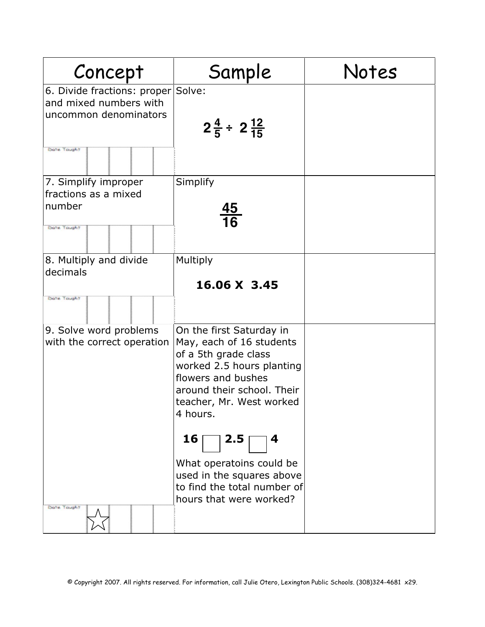| Concept                                                                                              | Sample                                                                                                                                                                                                                  | Notes |
|------------------------------------------------------------------------------------------------------|-------------------------------------------------------------------------------------------------------------------------------------------------------------------------------------------------------------------------|-------|
| 6. Divide fractions: proper Solve:<br>and mixed numbers with<br>uncommon denominators<br>Dote Tought | $2\frac{4}{5} \div 2\frac{12}{15}$                                                                                                                                                                                      |       |
| 7. Simplify improper<br>fractions as a mixed<br>number<br>Dote Tought                                | Simplify<br>$\frac{45}{16}$                                                                                                                                                                                             |       |
| 8. Multiply and divide<br>decimals<br>Dote Tought                                                    | Multiply<br>16.06 X 3.45                                                                                                                                                                                                |       |
| 9. Solve word problems<br>with the correct operation                                                 | On the first Saturday in<br>May, each of 16 students<br>of a 5th grade class<br>worked 2.5 hours planting<br>flowers and bushes<br>around their school. Their<br>teacher, Mr. West worked<br>4 hours.<br>2.5<br>16<br>4 |       |
| Dote: Tought                                                                                         | What operatoins could be<br>used in the squares above<br>to find the total number of<br>hours that were worked?                                                                                                         |       |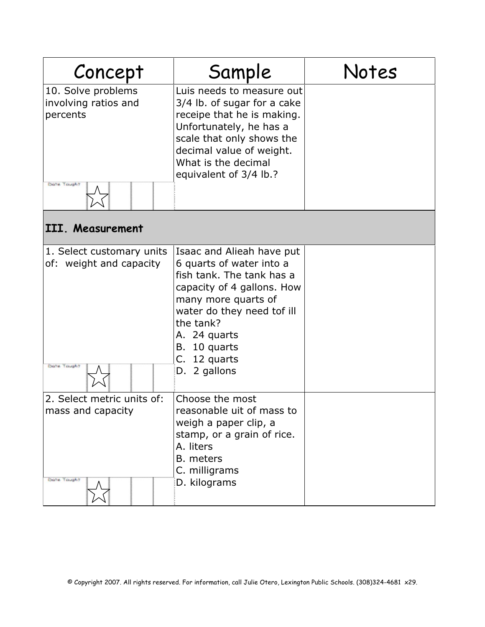| Concept                                                                 | Sample                                                                                                                                                                                                                                             | Notes |
|-------------------------------------------------------------------------|----------------------------------------------------------------------------------------------------------------------------------------------------------------------------------------------------------------------------------------------------|-------|
| 10. Solve problems<br>involving ratios and<br>percents<br>Dolfe, Tought | Luis needs to measure out<br>3/4 lb. of sugar for a cake<br>receipe that he is making.<br>Unfortunately, he has a<br>scale that only shows the<br>decimal value of weight.<br>What is the decimal<br>equivalent of 3/4 lb.?                        |       |
| III. Measurement                                                        |                                                                                                                                                                                                                                                    |       |
| 1. Select customary units<br>of: weight and capacity<br>Dote Tought     | Isaac and Alieah have put<br>6 quarts of water into a<br>fish tank. The tank has a<br>capacity of 4 gallons. How<br>many more quarts of<br>water do they need tof ill<br>the tank?<br>A. 24 quarts<br>B. 10 quarts<br>C. 12 quarts<br>D. 2 gallons |       |
| 2. Select metric units of:<br>mass and capacity<br>Dote Tought          | Choose the most<br>reasonable uit of mass to<br>weigh a paper clip, a<br>stamp, or a grain of rice.<br>A. liters<br><b>B.</b> meters<br>C. milligrams<br>D. kilograms                                                                              |       |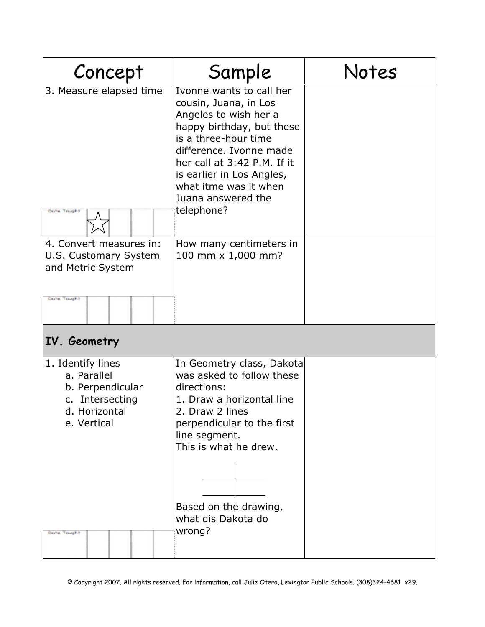| Concept                                                                                                 | Sample                                                                                                                                                                                                                                                                              | Notes |
|---------------------------------------------------------------------------------------------------------|-------------------------------------------------------------------------------------------------------------------------------------------------------------------------------------------------------------------------------------------------------------------------------------|-------|
| 3. Measure elapsed time<br>Dote: Tought                                                                 | Ivonne wants to call her<br>cousin, Juana, in Los<br>Angeles to wish her a<br>happy birthday, but these<br>is a three-hour time<br>difference. Ivonne made<br>her call at 3:42 P.M. If it<br>is earlier in Los Angles,<br>what itme was it when<br>Juana answered the<br>telephone? |       |
| 4. Convert measures in:<br>U.S. Customary System<br>and Metric System<br>Dotte, Tought                  | How many centimeters in<br>100 mm x 1,000 mm?                                                                                                                                                                                                                                       |       |
| IV. Geometry                                                                                            |                                                                                                                                                                                                                                                                                     |       |
| 1. Identify lines<br>a. Parallel<br>b. Perpendicular<br>c. Intersecting<br>d. Horizontal<br>e. Vertical | In Geometry class, Dakota<br>was asked to follow these<br>directions:<br>1. Draw a horizontal line<br>2. Draw 2 lines<br>perpendicular to the first<br>line segment.<br>This is what he drew.                                                                                       |       |
| Do'te Tough                                                                                             | Based on the drawing,<br>what dis Dakota do<br>wrong?                                                                                                                                                                                                                               |       |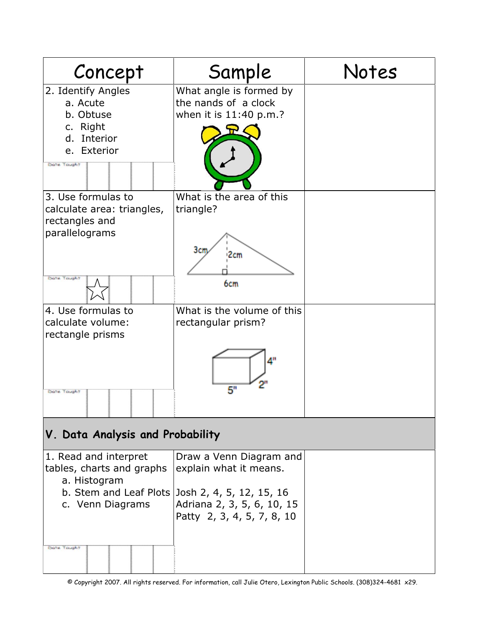